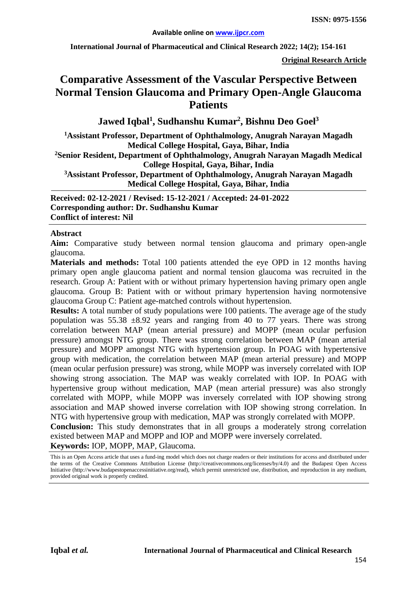**International Journal of Pharmaceutical and Clinical Research 2022; 14(2); 154-161**

**Original Research Article**

# **Comparative Assessment of the Vascular Perspective Between Normal Tension Glaucoma and Primary Open-Angle Glaucoma Patients**

Jawed Iqbal<sup>1</sup>, Sudhanshu Kumar<sup>2</sup>, Bishnu Deo Goel<sup>3</sup>

**1 Assistant Professor, Department of Ophthalmology, Anugrah Narayan Magadh Medical College Hospital, Gaya, Bihar, India 2Senior Resident, Department of Ophthalmology, Anugrah Narayan Magadh Medical College Hospital, Gaya, Bihar, India 3Assistant Professor, Department of Ophthalmology, Anugrah Narayan Magadh** 

**Medical College Hospital, Gaya, Bihar, India**

**Received: 02-12-2021 / Revised: 15-12-2021 / Accepted: 24-01-2022 Corresponding author: Dr. Sudhanshu Kumar Conflict of interest: Nil**

### **Abstract**

**Aim:** Comparative study between normal tension glaucoma and primary open-angle glaucoma.

**Materials and methods:** Total 100 patients attended the eye OPD in 12 months having primary open angle glaucoma patient and normal tension glaucoma was recruited in the research. Group A: Patient with or without primary hypertension having primary open angle glaucoma. Group B: Patient with or without primary hypertension having normotensive glaucoma Group C: Patient age-matched controls without hypertension.

**Results:** A total number of study populations were 100 patients. The average age of the study population was  $55.38 \pm 8.92$  years and ranging from 40 to 77 years. There was strong correlation between MAP (mean arterial pressure) and MOPP (mean ocular perfusion pressure) amongst NTG group. There was strong correlation between MAP (mean arterial pressure) and MOPP amongst NTG with hypertension group. In POAG with hypertensive group with medication, the correlation between MAP (mean arterial pressure) and MOPP (mean ocular perfusion pressure) was strong, while MOPP was inversely correlated with IOP showing strong association. The MAP was weakly correlated with IOP. In POAG with hypertensive group without medication, MAP (mean arterial pressure) was also strongly correlated with MOPP, while MOPP was inversely correlated with IOP showing strong association and MAP showed inverse correlation with IOP showing strong correlation. In NTG with hypertensive group with medication, MAP was strongly correlated with MOPP.

**Conclusion:** This study demonstrates that in all groups a moderately strong correlation existed between MAP and MOPP and IOP and MOPP were inversely correlated. **Keywords:** IOP, MOPP, MAP, Glaucoma.

This is an Open Access article that uses a fund-ing model which does not charge readers or their institutions for access and distributed under the terms of the Creative Commons Attribution License (http://creativecommons.org/licenses/by/4.0) and the Budapest Open Access Initiative (http://www.budapestopenaccessinitiative.org/read), which permit unrestricted use, distribution, and reproduction in any medium, provided original work is properly credited.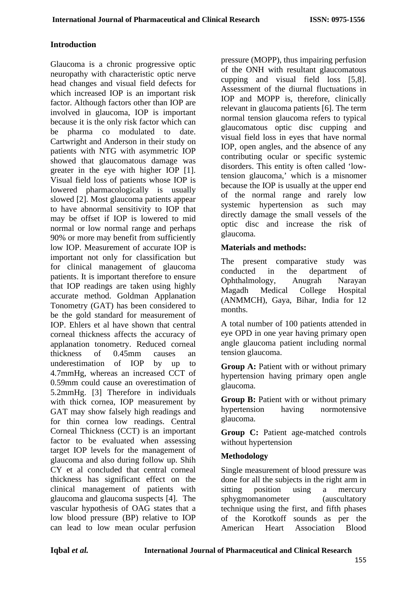# **Introduction**

Glaucoma is a chronic progressive optic neuropathy with characteristic optic nerve head changes and visual field defects for which increased IOP is an important risk factor. Although factors other than IOP are involved in glaucoma, IOP is important because it is the only risk factor which can be pharma co modulated to date. Cartwright and Anderson in their study on patients with NTG with asymmetric IOP showed that glaucomatous damage was greater in the eye with higher IOP [1]. Visual field loss of patients whose IOP is lowered pharmacologically is usually slowed [2]. Most glaucoma patients appear to have abnormal sensitivity to IOP that may be offset if IOP is lowered to mid normal or low normal range and perhaps 90% or more may benefit from sufficiently low IOP. Measurement of accurate IOP is important not only for classification but for clinical management of glaucoma patients. It is important therefore to ensure that IOP readings are taken using highly accurate method. Goldman Applanation Tonometry (GAT) has been considered to be the gold standard for measurement of IOP. Ehlers et al have shown that central corneal thickness affects the accuracy of applanation tonometry. Reduced corneal thickness of 0.45mm causes an underestimation of IOP by up to 4.7mmHg, whereas an increased CCT of 0.59mm could cause an overestimation of 5.2mmHg. [3] Therefore in individuals with thick cornea, IOP measurement by GAT may show falsely high readings and for thin cornea low readings. Central Corneal Thickness (CCT) is an important factor to be evaluated when assessing target IOP levels for the management of glaucoma and also during follow up. Shih CY et al concluded that central corneal thickness has significant effect on the clinical management of patients with glaucoma and glaucoma suspects [4]. The vascular hypothesis of OAG states that a low blood pressure (BP) relative to IOP can lead to low mean ocular perfusion

pressure (MOPP), thus impairing perfusion of the ONH with resultant glaucomatous cupping and visual field loss [5,8]. Assessment of the diurnal fluctuations in IOP and MOPP is, therefore, clinically relevant in glaucoma patients [6]. The term normal tension glaucoma refers to typical glaucomatous optic disc cupping and visual field loss in eyes that have normal IOP, open angles, and the absence of any contributing ocular or specific systemic disorders. This entity is often called 'lowtension glaucoma,' which is a misnomer because the IOP is usually at the upper end of the normal range and rarely low systemic hypertension as such may directly damage the small vessels of the optic disc and increase the risk of glaucoma.

### **Materials and methods:**

The present comparative study was conducted in the department of Ophthalmology, Anugrah Narayan Magadh Medical College Hospital (ANMMCH), Gaya, Bihar, India for 12 months.

A total number of 100 patients attended in eye OPD in one year having primary open angle glaucoma patient including normal tension glaucoma.

**Group A: Patient with or without primary** hypertension having primary open angle glaucoma.

**Group B:** Patient with or without primary hypertension having normotensive glaucoma.

**Group C:** Patient age-matched controls without hypertension

### **Methodology**

Single measurement of blood pressure was done for all the subjects in the right arm in sitting position using a mercury sphygmomanometer (auscultatory technique using the first, and fifth phases of the Korotkoff sounds as per the American Heart Association Blood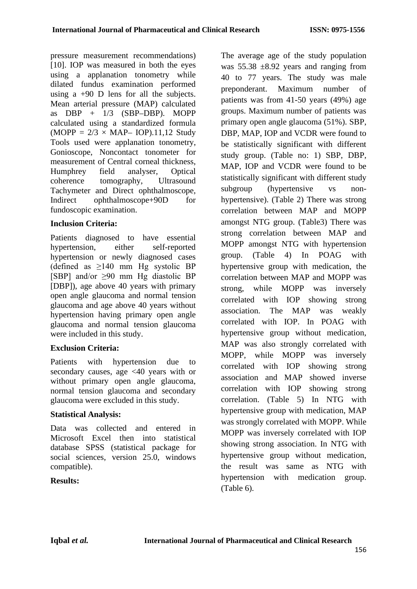pressure measurement recommendations) [10]. IOP was measured in both the eyes using a applanation tonometry while dilated fundus examination performed using a  $+90$  D lens for all the subjects. Mean arterial pressure (MAP) calculated as DBP + 1/3 (SBP–DBP). MOPP calculated using a standardized formula  $(MOPP = 2/3 \times MAP - IOP)$ .11,12 Study Tools used were applanation tonometry, Gonioscope, Noncontact tonometer for measurement of Central corneal thickness, Humphrey field analyser, Optical coherence tomography, Ultrasound Tachymeter and Direct ophthalmoscope, Indirect ophthalmoscope+90D for fundoscopic examination.

# **Inclusion Criteria:**

Patients diagnosed to have essential hypertension, either self-reported hypertension or newly diagnosed cases (defined as  $\geq 140$  mm Hg systolic BP [SBP] and/or ≥90 mm Hg diastolic BP [DBP]), age above 40 years with primary open angle glaucoma and normal tension glaucoma and age above 40 years without hypertension having primary open angle glaucoma and normal tension glaucoma were included in this study.

# **Exclusion Criteria:**

Patients with hypertension due to secondary causes, age <40 years with or without primary open angle glaucoma, normal tension glaucoma and secondary glaucoma were excluded in this study.

# **Statistical Analysis:**

Data was collected and entered in Microsoft Excel then into statistical database SPSS (statistical package for social sciences, version 25.0, windows compatible).

# **Results:**

The average age of the study population was  $55.38 \pm 8.92$  years and ranging from 40 to 77 years. The study was male preponderant. Maximum number of patients was from 41-50 years (49%) age groups. Maximum number of patients was primary open angle glaucoma (51%). SBP, DBP, MAP, IOP and VCDR were found to be statistically significant with different study group. (Table no: 1) SBP, DBP, MAP, IOP and VCDR were found to be statistically significant with different study subgroup (hypertensive vs nonhypertensive). (Table 2) There was strong correlation between MAP and MOPP amongst NTG group. (Table3) There was strong correlation between MAP and MOPP amongst NTG with hypertension group. (Table 4) In POAG with hypertensive group with medication, the correlation between MAP and MOPP was strong, while MOPP was inversely correlated with IOP showing strong association. The MAP was weakly correlated with IOP. In POAG with hypertensive group without medication, MAP was also strongly correlated with MOPP, while MOPP was inversely correlated with IOP showing strong association and MAP showed inverse correlation with IOP showing strong correlation. (Table 5) In NTG with hypertensive group with medication, MAP was strongly correlated with MOPP. While MOPP was inversely correlated with IOP showing strong association. In NTG with hypertensive group without medication, the result was same as NTG with hypertension with medication group. (Table 6).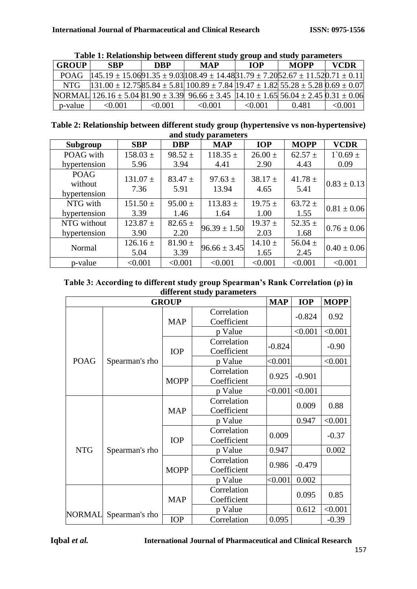| <b>GROUP</b> | <b>SBP</b>                                                                                                                                                  | <b>DRP</b> | <b>MAP</b> | <b>TOP</b> | <b>MOPP</b> | <b>VCDR</b> |
|--------------|-------------------------------------------------------------------------------------------------------------------------------------------------------------|------------|------------|------------|-------------|-------------|
| POAG.        | $145.19 \pm 15.0691.35 \pm 9.03108.49 \pm 14.4831.79 \pm 7.2052.67 \pm 11.520.71 \pm 0.11$                                                                  |            |            |            |             |             |
| <b>NTG</b>   | $131.00 \pm 12.7585.84 \pm 5.811100.89 \pm 7.84119.47 \pm 1.82155.28 \pm 5.2810.69 \pm 0.071$                                                               |            |            |            |             |             |
|              | NORMAL $126.16 \pm 5.04 \times 10^{-12}$ 96.66 $\pm 3.39 \times 10^{-12}$ 96.66 $\pm 3.45 \times 10^{-12}$ 1.65 56.04 $\pm 2.45 \times 10^{-12}$ $\pm 0.06$ |            |            |            |             |             |
| p-value      | < 0.001                                                                                                                                                     | <0.001     | < 0.001    | < 0.001    | 0.481       | <0.001      |

| Table 1: Relationship between different study group and study parameters |  |  |  |  |  |
|--------------------------------------------------------------------------|--|--|--|--|--|
|--------------------------------------------------------------------------|--|--|--|--|--|

**Table 2: Relationship between different study group (hypertensive vs non-hypertensive) and study parameters**

| Subgroup                               | <b>SBP</b>           | <b>DBP</b>          | <b>MAP</b>           | <b>IOP</b>          | <b>MOPP</b>         | <b>VCDR</b>         |
|----------------------------------------|----------------------|---------------------|----------------------|---------------------|---------------------|---------------------|
| POAG with                              | $158.03 \pm$         | $98.52 \pm$         | $118.35 \pm$         | $26.00 \pm$         | $62.57 \pm$         | $1^{\circ}0.69 \pm$ |
| hypertension                           | 5.96                 | 3.94                | 4.41                 | 2.90                | 4.43                | 0.09                |
| <b>POAG</b><br>without<br>hypertension | $131.07 \pm$<br>7.36 | $83.47 \pm$<br>5.91 | 97.63 $\pm$<br>13.94 | 38.17 $\pm$<br>4.65 | $41.78 \pm$<br>5.41 | $0.83 \pm 0.13$     |
| NTG with                               | $151.50 \pm$         | $95.00 \pm$         | $113.83 \pm$         | $19.75 \pm$         | $63.72 \pm$         | $0.81 \pm 0.06$     |
| hypertension                           | 3.39                 | 1.46                | 1.64                 | 1.00                | 1.55                |                     |
| NTG without                            | $123.87 \pm$         | $82.65 \pm$         | $96.39 \pm 1.50$     | $19.37 \pm$         | 52.35 $\pm$         |                     |
| hypertension                           | 3.90                 | 2.20                |                      | 2.03                | 1.68                | $0.76 \pm 0.06$     |
|                                        | $126.16 \pm$         | $81.90 \pm$         |                      | $14.10 \pm$         | 56.04 $\pm$         |                     |
| Normal                                 | 5.04                 | 3.39                | $96.66 \pm 3.45$     | 1.65                | 2.45                | $0.40 \pm 0.06$     |
| p-value                                | < 0.001              | < 0.001             | < 0.001              | < 0.001             | < 0.001             | < 0.001             |

| Table 3: According to different study group Spearman's Rank Correlation $(\rho)$ in |
|-------------------------------------------------------------------------------------|
| different study parameters                                                          |

|               |                | <b>GROUP</b> |                            | <b>MAP</b> | <b>IOP</b> | <b>MOPP</b> |
|---------------|----------------|--------------|----------------------------|------------|------------|-------------|
|               |                | <b>MAP</b>   | Correlation<br>Coefficient |            | $-0.824$   | 0.92        |
|               |                |              | p Value                    |            | < 0.001    | < 0.001     |
|               |                | <b>IOP</b>   | Correlation<br>Coefficient | $-0.824$   |            | $-0.90$     |
| <b>POAG</b>   | Spearman's rho |              | p Value                    | < 0.001    |            | < 0.001     |
|               |                | <b>MOPP</b>  | Correlation<br>Coefficient | 0.925      | $-0.901$   |             |
|               |                |              | p Value                    | < 0.001    | < 0.001    |             |
|               |                | <b>MAP</b>   | Correlation<br>Coefficient |            | 0.009      | 0.88        |
|               |                |              | p Value                    |            | 0.947      | < 0.001     |
|               |                | <b>IOP</b>   | Correlation<br>Coefficient | 0.009      |            | $-0.37$     |
| <b>NTG</b>    | Spearman's rho |              | p Value                    | 0.947      |            | 0.002       |
|               |                | <b>MOPP</b>  | Correlation<br>Coefficient | 0.986      | $-0.479$   |             |
|               |                |              | p Value                    | < 0.001    | 0.002      |             |
|               |                |              | Correlation                |            | 0.095      | 0.85        |
|               |                | <b>MAP</b>   | Coefficient                |            |            |             |
| <b>NORMAL</b> | Spearman's rho |              | p Value                    |            | 0.612      | < 0.001     |
|               |                | <b>IOP</b>   | Correlation                | 0.095      |            | $-0.39$     |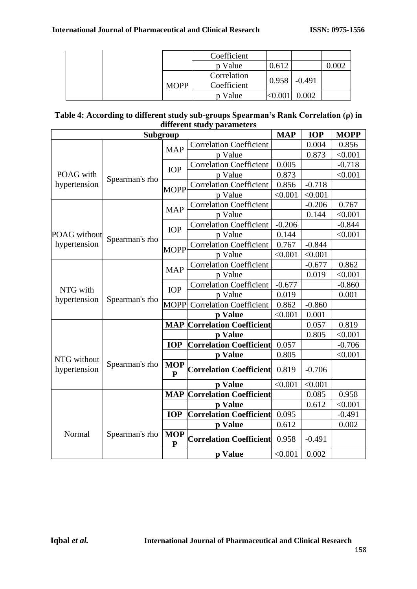|  |             | Coefficient                |       |          |  |
|--|-------------|----------------------------|-------|----------|--|
|  |             | p Value                    | 0.612 |          |  |
|  | <b>MOPP</b> | Correlation<br>Coefficient | 0.958 | $-0.491$ |  |
|  |             | p Value                    |       | .002     |  |

| Table 4: According to different study sub-groups Spearman's Rank Correlation (ρ) in |  |
|-------------------------------------------------------------------------------------|--|
| different study parameters                                                          |  |

|                          |                | Subgroup                   |                                    | <b>MAP</b> | <b>IOP</b> | <b>MOPP</b> |
|--------------------------|----------------|----------------------------|------------------------------------|------------|------------|-------------|
|                          |                | <b>MAP</b>                 | <b>Correlation Coefficient</b>     |            | 0.004      | 0.856       |
|                          |                |                            | p Value                            |            | 0.873      | < 0.001     |
|                          |                | <b>IOP</b>                 | <b>Correlation Coefficient</b>     | 0.005      |            | $-0.718$    |
| POAG with                | Spearman's rho |                            | p Value                            | 0.873      |            | < 0.001     |
| hypertension             |                | <b>MOPP</b>                | <b>Correlation Coefficient</b>     | 0.856      | $-0.718$   |             |
|                          |                |                            | p Value                            | < 0.001    | < 0.001    |             |
|                          |                | <b>MAP</b>                 | <b>Correlation Coefficient</b>     |            | $-0.206$   | 0.767       |
|                          |                |                            | p Value                            |            | 0.144      | < 0.001     |
|                          |                | <b>IOP</b>                 | <b>Correlation Coefficient</b>     | $-0.206$   |            | $-0.844$    |
| <b>POAG</b> without      | Spearman's rho |                            | p Value                            | 0.144      |            | < 0.001     |
| hypertension             |                | <b>MOPP</b>                | <b>Correlation Coefficient</b>     | 0.767      | $-0.844$   |             |
|                          |                |                            | p Value                            | < 0.001    | < 0.001    |             |
|                          |                | <b>MAP</b>                 | <b>Correlation Coefficient</b>     |            | $-0.677$   | 0.862       |
| NTG with<br>hypertension | Spearman's rho |                            | p Value                            |            | 0.019      | < 0.001     |
|                          |                | <b>IOP</b>                 | <b>Correlation Coefficient</b>     | $-0.677$   |            | $-0.860$    |
|                          |                |                            | p Value                            | 0.019      |            | 0.001       |
|                          |                | <b>MOPP</b>                | <b>Correlation Coefficient</b>     | 0.862      | $-0.860$   |             |
|                          |                |                            | p Value                            | < 0.001    | 0.001      |             |
|                          |                |                            | <b>MAP Correlation Coefficient</b> |            | 0.057      | 0.819       |
|                          |                |                            | p Value                            |            | 0.805      | < 0.001     |
| NTG without<br>Normal    |                | <b>IOP</b>                 | <b>Correlation Coefficient</b>     | 0.057      |            | $-0.706$    |
|                          |                |                            | p Value                            | 0.805      |            | < 0.001     |
| hypertension             | Spearman's rho | <b>MOP</b><br>${\bf P}$    | <b>Correlation Coefficient</b>     | 0.819      | $-0.706$   |             |
|                          |                |                            | p Value                            | < 0.001    | < 0.001    |             |
|                          |                | <b>MAP</b>                 | <b>Correlation Coefficient</b>     |            | 0.085      | 0.958       |
|                          |                |                            | p Value                            |            | 0.612      | < 0.001     |
|                          |                | <b>IOP</b>                 | <b>Correlation Coefficient</b>     | 0.095      |            | $-0.491$    |
|                          |                |                            | p Value                            | 0.612      |            | 0.002       |
|                          | Spearman's rho | <b>MOP</b><br>$\mathbf{P}$ | <b>Correlation Coefficient</b>     | 0.958      | $-0.491$   |             |
|                          |                |                            | p Value                            | < 0.001    | 0.002      |             |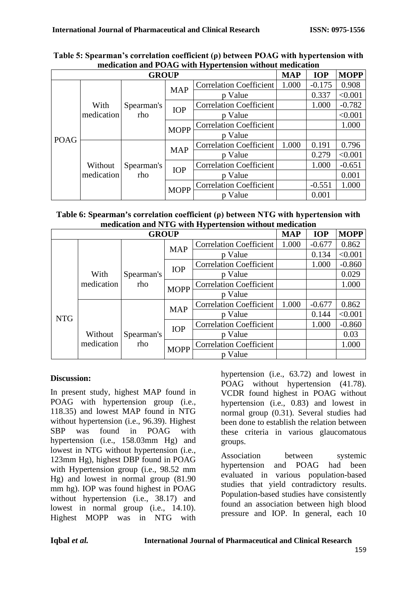|             |            | <b>GROUP</b>      |             |                                | <b>MAP</b> | <b>IOP</b> | <b>MOPP</b> |
|-------------|------------|-------------------|-------------|--------------------------------|------------|------------|-------------|
|             |            |                   | <b>MAP</b>  | <b>Correlation Coefficient</b> | 1.000      | $-0.175$   | 0.908       |
|             |            |                   |             | p Value                        |            | 0.337      | < 0.001     |
|             | With       | Spearman's        | <b>IOP</b>  | <b>Correlation Coefficient</b> |            | 1.000      | $-0.782$    |
|             | medication | rho               |             | p Value                        |            |            | < 0.001     |
|             |            |                   | <b>MOPP</b> | <b>Correlation Coefficient</b> |            |            | 1.000       |
| <b>POAG</b> |            |                   |             | p Value                        |            |            |             |
|             |            |                   | <b>MAP</b>  | <b>Correlation Coefficient</b> | 1.000      | 0.191      | 0.796       |
|             |            | Spearman's<br>rho |             | p Value                        |            | 0.279      | < 0.001     |
|             | Without    |                   | <b>IOP</b>  | <b>Correlation Coefficient</b> |            | 1.000      | $-0.651$    |
|             | medication |                   |             | p Value                        |            |            | 0.001       |
|             |            |                   | <b>MOPP</b> | <b>Correlation Coefficient</b> |            | $-0.551$   | 1.000       |
|             |            |                   |             | p Value                        |            | 0.001      |             |

| Table 5: Spearman's correlation coefficient $(\rho)$ between POAG with hypertension with |
|------------------------------------------------------------------------------------------|
| medication and POAG with Hypertension without medication                                 |

| Table 6: Spearman's correlation coefficient $(\rho)$ between NTG with hypertension with |
|-----------------------------------------------------------------------------------------|
| medication and NTG with Hypertension without medication                                 |

|            |            | <b>GROUP</b> |                                |                                | <b>MAP</b> | <b>IOP</b> | <b>MOPP</b> |
|------------|------------|--------------|--------------------------------|--------------------------------|------------|------------|-------------|
|            |            |              | <b>MAP</b>                     | <b>Correlation Coefficient</b> | 1.000      | $-0.677$   | 0.862       |
|            |            |              |                                | p Value                        |            | 0.134      | < 0.001     |
| With       |            | <b>IOP</b>   | <b>Correlation Coefficient</b> |                                | 1.000      | $-0.860$   |             |
|            |            | Spearman's   |                                | p Value                        |            |            | 0.029       |
|            | medication | rho          | <b>MOPP</b>                    | <b>Correlation Coefficient</b> |            |            | 1.000       |
|            |            |              |                                | p Value                        |            |            |             |
|            |            |              | <b>MAP</b>                     | <b>Correlation Coefficient</b> | 1.000      | $-0.677$   | 0.862       |
| <b>NTG</b> |            |              |                                | p Value                        |            | 0.144      | < 0.001     |
|            |            |              | <b>IOP</b>                     | <b>Correlation Coefficient</b> |            | 1.000      | $-0.860$    |
|            | Without    | Spearman's   |                                | p Value                        |            |            | 0.03        |
|            | medication | rho          | <b>MOPP</b>                    | <b>Correlation Coefficient</b> |            |            | 1.000       |
|            |            |              |                                | p Value                        |            |            |             |

# **Discussion:**

In present study, highest MAP found in POAG with hypertension group (i.e., 118.35) and lowest MAP found in NTG without hypertension (i.e., 96.39). Highest SBP was found in POAG with hypertension (i.e., 158.03mm Hg) and lowest in NTG without hypertension (i.e., 123mm Hg), highest DBP found in POAG with Hypertension group (i.e., 98.52 mm Hg) and lowest in normal group (81.90 mm hg). IOP was found highest in POAG without hypertension (i.e., 38.17) and lowest in normal group (i.e., 14.10). Highest MOPP was in NTG with hypertension (i.e., 63.72) and lowest in POAG without hypertension (41.78). VCDR found highest in POAG without hypertension (i.e., 0.83) and lowest in normal group (0.31). Several studies had been done to establish the relation between these criteria in various glaucomatous groups.

Association between systemic hypertension and POAG had been evaluated in various population-based studies that yield contradictory results. Population-based studies have consistently found an association between high blood pressure and IOP. In general, each 10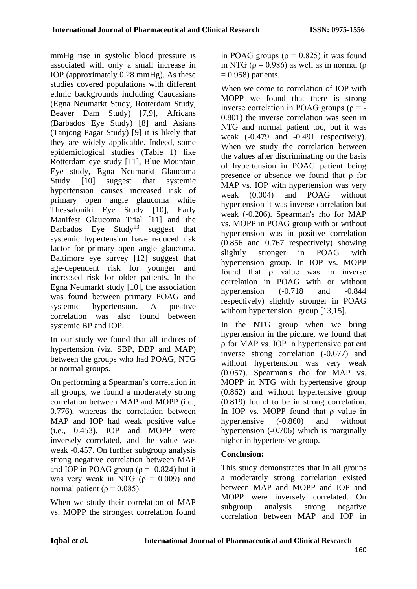mmHg rise in systolic blood pressure is associated with only a small increase in IOP (approximately 0.28 mmHg). As these studies covered populations with different ethnic backgrounds including Caucasians (Egna Neumarkt Study, Rotterdam Study, Beaver Dam Study) [7,9], Africans (Barbados Eye Study) [8] and Asians (Tanjong Pagar Study) [9] it is likely that they are widely applicable. Indeed, some epidemiological studies (Table 1) like Rotterdam eye study [11], Blue Mountain Eye study, Egna Neumarkt Glaucoma Study [10] suggest that systemic hypertension causes increased risk of primary open angle glaucoma while Thessaloniki Eye Study [10], Early Manifest Glaucoma Trial [11] and the Barbados Eye  $Study<sup>13</sup>$  suggest that systemic hypertension have reduced risk factor for primary open angle glaucoma. Baltimore eye survey [12] suggest that age-dependent risk for younger and increased risk for older patients. In the Egna Neumarkt study [10], the association was found between primary POAG and systemic hypertension. A positive correlation was also found between systemic BP and IOP.

In our study we found that all indices of hypertension (viz. SBP, DBP and MAP) between the groups who had POAG, NTG or normal groups.

On performing a Spearman's correlation in all groups, we found a moderately strong correlation between MAP and MOPP (i.e., 0.776), whereas the correlation between MAP and IOP had weak positive value (i.e., 0.453). IOP and MOPP were inversely correlated, and the value was weak -0.457. On further subgroup analysis strong negative correlation between MAP and IOP in POAG group ( $\rho$  = -0.824) but it was very weak in NTG  $(\rho = 0.009)$  and normal patient ( $\rho = 0.085$ ).

When we study their correlation of MAP vs. MOPP the strongest correlation found in POAG groups ( $\rho = 0.825$ ) it was found in NTG ( $\rho = 0.986$ ) as well as in normal ( $\rho$  $= 0.958$ ) patients.

When we come to correlation of IOP with MOPP we found that there is strong inverse correlation in POAG groups ( $\rho = -$ 0.801) the inverse correlation was seen in NTG and normal patient too, but it was weak (-0.479 and -0.491 respectively). When we study the correlation between the values after discriminating on the basis of hypertension in POAG patient being presence or absence we found that ρ for MAP vs. IOP with hypertension was very weak (0.004) and POAG without hypertension it was inverse correlation but weak (-0.206). Spearman's rho for MAP vs. MOPP in POAG group with or without hypertension was in positive correlation (0.856 and 0.767 respectively) showing slightly stronger in POAG with hypertension group. In IOP vs. MOPP found that ρ value was in inverse correlation in POAG with or without hypertension  $(-0.718$  and  $-0.844$ respectively) slightly stronger in POAG without hypertension group [13,15].

In the NTG group when we bring hypertension in the picture, we found that ρ for MAP vs. IOP in hypertensive patient inverse strong correlation (-0.677) and without hypertension was very weak (0.057). Spearman's rho for MAP vs. MOPP in NTG with hypertensive group (0.862) and without hypertensive group (0.819) found to be in strong correlation. In IOP vs. MOPP found that ρ value in hypertensive (-0.860) and without hypertension (-0.706) which is marginally higher in hypertensive group.

# **Conclusion:**

This study demonstrates that in all groups a moderately strong correlation existed between MAP and MOPP and IOP and MOPP were inversely correlated. On subgroup analysis strong negative correlation between MAP and IOP in